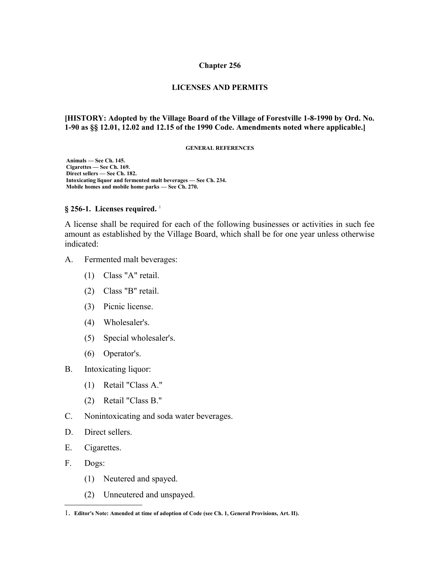#### **Chapter 256**

#### **LICENSES AND PERMITS**

#### **[HISTORY: Adopted by the Village Board of the Village of Forestville 1-8-1990 by Ord. No. 1-90 as §§ 12.01, 12.02 and 12.15 of the 1990 Code. Amendments noted where applicable.]**

#### **GENERAL REFERENCES**

 **Animals — See Ch. 145. Cigarettes — See Ch. 169. Direct sellers — See Ch. 182. Intoxicating liquor and fermented malt beverages — See Ch. 234. Mobile homes and mobile home parks — See Ch. 270.**

#### § 256-[1](#page-0-0). Licenses required.<sup>1</sup>

A license shall be required for each of the following businesses or activities in such fee amount as established by the Village Board, which shall be for one year unless otherwise indicated:

- A. Fermented malt beverages:
	- (1) Class "A" retail.
	- (2) Class "B" retail.
	- (3) Picnic license.
	- (4) Wholesaler's.
	- (5) Special wholesaler's.
	- (6) Operator's.
- B. Intoxicating liquor:
	- (1) Retail "Class A."
	- (2) Retail "Class B."
- C. Nonintoxicating and soda water beverages.
- D. Direct sellers.
- E. Cigarettes.
- F. Dogs:
	- (1) Neutered and spayed.
	- (2) Unneutered and unspayed.

<span id="page-0-0"></span><sup>1</sup>. **Editor's Note: Amended at time of adoption of Code (see Ch. 1, General Provisions, Art. II).**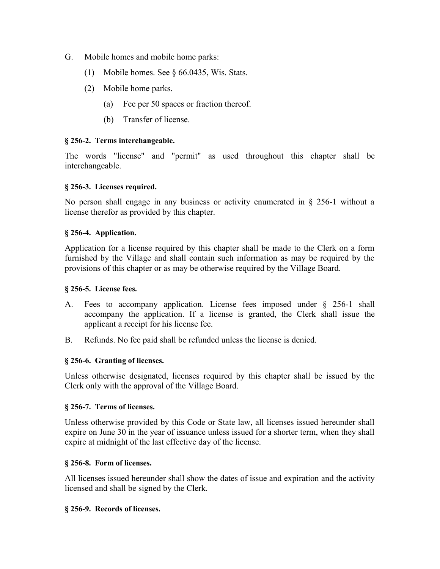- G. Mobile homes and mobile home parks:
	- (1) Mobile homes. See § 66.0435, Wis. Stats.
	- (2) Mobile home parks.
		- (a) Fee per 50 spaces or fraction thereof.
		- (b) Transfer of license.

## **§ 256-2. Terms interchangeable.**

The words "license" and "permit" as used throughout this chapter shall be interchangeable.

## **§ 256-3. Licenses required.**

No person shall engage in any business or activity enumerated in § 256-1 without a license therefor as provided by this chapter.

## **§ 256-4. Application.**

Application for a license required by this chapter shall be made to the Clerk on a form furnished by the Village and shall contain such information as may be required by the provisions of this chapter or as may be otherwise required by the Village Board.

### **§ 256-5. License fees.**

- A. Fees to accompany application. License fees imposed under § 256-1 shall accompany the application. If a license is granted, the Clerk shall issue the applicant a receipt for his license fee.
- B. Refunds. No fee paid shall be refunded unless the license is denied.

## **§ 256-6. Granting of licenses.**

Unless otherwise designated, licenses required by this chapter shall be issued by the Clerk only with the approval of the Village Board.

#### **§ 256-7. Terms of licenses.**

Unless otherwise provided by this Code or State law, all licenses issued hereunder shall expire on June 30 in the year of issuance unless issued for a shorter term, when they shall expire at midnight of the last effective day of the license.

#### **§ 256-8. Form of licenses.**

All licenses issued hereunder shall show the dates of issue and expiration and the activity licensed and shall be signed by the Clerk.

#### **§ 256-9. Records of licenses.**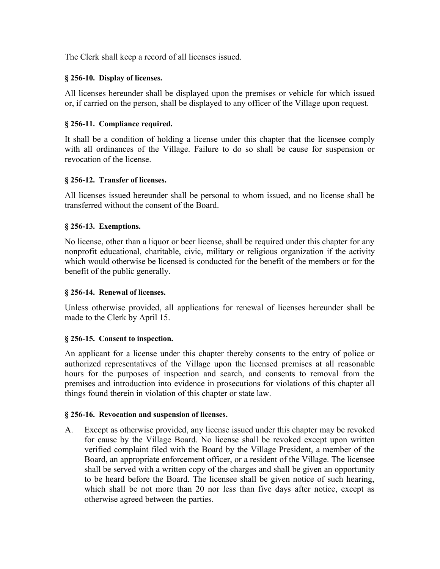The Clerk shall keep a record of all licenses issued.

## **§ 256-10. Display of licenses.**

All licenses hereunder shall be displayed upon the premises or vehicle for which issued or, if carried on the person, shall be displayed to any officer of the Village upon request.

# **§ 256-11. Compliance required.**

It shall be a condition of holding a license under this chapter that the licensee comply with all ordinances of the Village. Failure to do so shall be cause for suspension or revocation of the license.

# **§ 256-12. Transfer of licenses.**

All licenses issued hereunder shall be personal to whom issued, and no license shall be transferred without the consent of the Board.

# **§ 256-13. Exemptions.**

No license, other than a liquor or beer license, shall be required under this chapter for any nonprofit educational, charitable, civic, military or religious organization if the activity which would otherwise be licensed is conducted for the benefit of the members or for the benefit of the public generally.

## **§ 256-14. Renewal of licenses.**

Unless otherwise provided, all applications for renewal of licenses hereunder shall be made to the Clerk by April 15.

## **§ 256-15. Consent to inspection.**

An applicant for a license under this chapter thereby consents to the entry of police or authorized representatives of the Village upon the licensed premises at all reasonable hours for the purposes of inspection and search, and consents to removal from the premises and introduction into evidence in prosecutions for violations of this chapter all things found therein in violation of this chapter or state law.

## **§ 256-16. Revocation and suspension of licenses.**

A. Except as otherwise provided, any license issued under this chapter may be revoked for cause by the Village Board. No license shall be revoked except upon written verified complaint filed with the Board by the Village President, a member of the Board, an appropriate enforcement officer, or a resident of the Village. The licensee shall be served with a written copy of the charges and shall be given an opportunity to be heard before the Board. The licensee shall be given notice of such hearing, which shall be not more than 20 nor less than five days after notice, except as otherwise agreed between the parties.